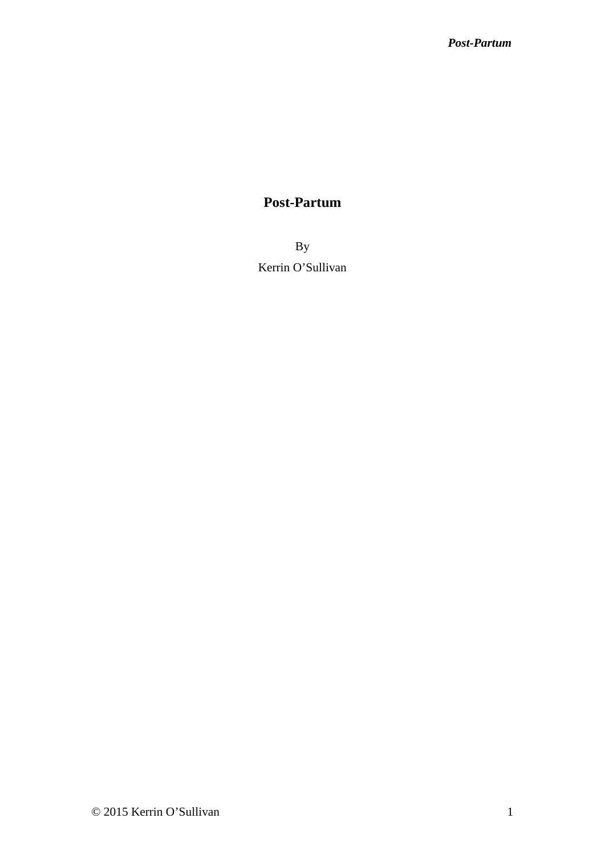By Kerrin O'Sullivan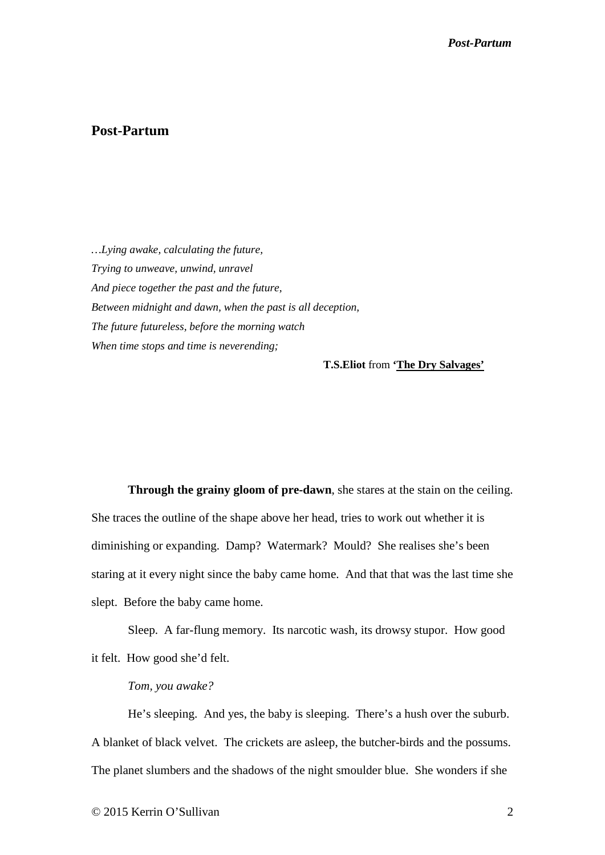*…Lying awake, calculating the future, Trying to unweave, unwind, unravel And piece together the past and the future, Between midnight and dawn, when the past is all deception, The future futureless, before the morning watch When time stops and time is neverending;*

**T.S.Eliot** from **'The Dry Salvages'**

 **Through the grainy gloom of pre-dawn**, she stares at the stain on the ceiling. She traces the outline of the shape above her head, tries to work out whether it is diminishing or expanding. Damp? Watermark? Mould? She realises she's been staring at it every night since the baby came home. And that that was the last time she slept. Before the baby came home.

 Sleep. A far-flung memory. Its narcotic wash, its drowsy stupor. How good it felt. How good she'd felt.

#### *Tom, you awake?*

 He's sleeping. And yes, the baby is sleeping. There's a hush over the suburb. A blanket of black velvet. The crickets are asleep, the butcher-birds and the possums. The planet slumbers and the shadows of the night smoulder blue. She wonders if she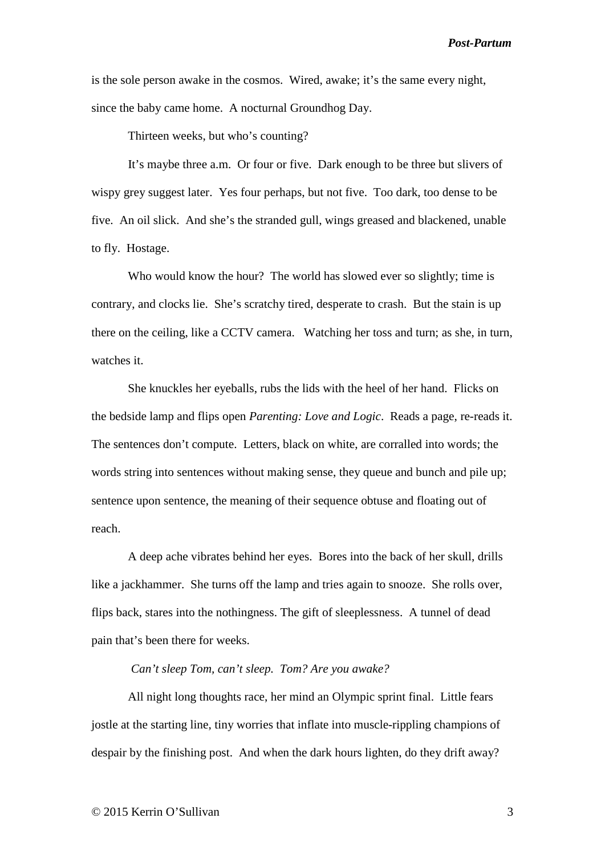is the sole person awake in the cosmos. Wired, awake; it's the same every night, since the baby came home. A nocturnal Groundhog Day.

Thirteen weeks, but who's counting?

 It's maybe three a.m. Or four or five. Dark enough to be three but slivers of wispy grey suggest later. Yes four perhaps, but not five. Too dark, too dense to be five. An oil slick. And she's the stranded gull, wings greased and blackened, unable to fly. Hostage.

 Who would know the hour? The world has slowed ever so slightly; time is contrary, and clocks lie. She's scratchy tired, desperate to crash. But the stain is up there on the ceiling, like a CCTV camera. Watching her toss and turn; as she, in turn, watches it.

 She knuckles her eyeballs, rubs the lids with the heel of her hand. Flicks on the bedside lamp and flips open *Parenting: Love and Logic*. Reads a page, re-reads it. The sentences don't compute. Letters, black on white, are corralled into words; the words string into sentences without making sense, they queue and bunch and pile up; sentence upon sentence, the meaning of their sequence obtuse and floating out of reach.

 A deep ache vibrates behind her eyes. Bores into the back of her skull, drills like a jackhammer. She turns off the lamp and tries again to snooze. She rolls over, flips back, stares into the nothingness. The gift of sleeplessness. A tunnel of dead pain that's been there for weeks.

### *Can't sleep Tom, can't sleep. Tom? Are you awake?*

 All night long thoughts race, her mind an Olympic sprint final. Little fears jostle at the starting line, tiny worries that inflate into muscle-rippling champions of despair by the finishing post. And when the dark hours lighten, do they drift away?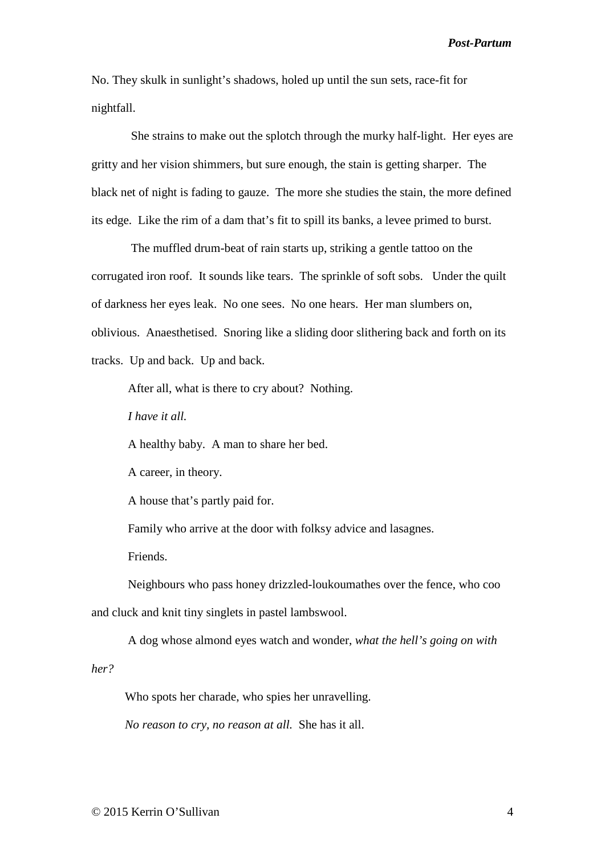No. They skulk in sunlight's shadows, holed up until the sun sets, race-fit for nightfall.

 She strains to make out the splotch through the murky half-light. Her eyes are gritty and her vision shimmers, but sure enough, the stain is getting sharper. The black net of night is fading to gauze. The more she studies the stain, the more defined its edge. Like the rim of a dam that's fit to spill its banks, a levee primed to burst.

 The muffled drum-beat of rain starts up, striking a gentle tattoo on the corrugated iron roof. It sounds like tears. The sprinkle of soft sobs. Under the quilt of darkness her eyes leak. No one sees. No one hears. Her man slumbers on, oblivious. Anaesthetised. Snoring like a sliding door slithering back and forth on its tracks. Up and back. Up and back.

After all, what is there to cry about? Nothing.

*I have it all.* 

A healthy baby. A man to share her bed.

A career, in theory.

A house that's partly paid for.

Family who arrive at the door with folksy advice and lasagnes.

Friends.

 Neighbours who pass honey drizzled-loukoumathes over the fence, who coo and cluck and knit tiny singlets in pastel lambswool.

A dog whose almond eyes watch and wonder, *what the hell's going on with* 

*her?*

Who spots her charade, who spies her unravelling.

*No reason to cry, no reason at all.* She has it all.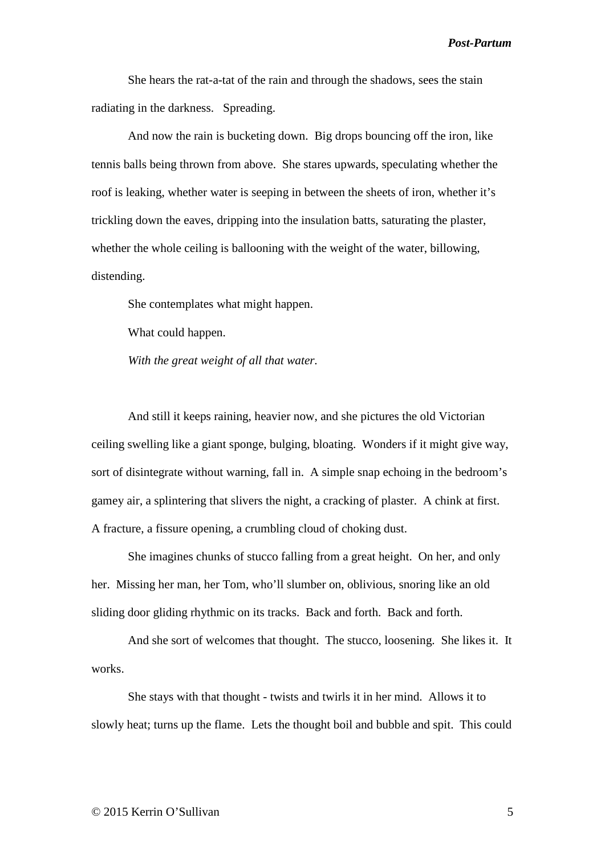She hears the rat-a-tat of the rain and through the shadows, sees the stain radiating in the darkness. Spreading.

 And now the rain is bucketing down. Big drops bouncing off the iron, like tennis balls being thrown from above. She stares upwards, speculating whether the roof is leaking, whether water is seeping in between the sheets of iron, whether it's trickling down the eaves, dripping into the insulation batts, saturating the plaster, whether the whole ceiling is ballooning with the weight of the water, billowing, distending.

She contemplates what might happen.

What could happen.

*With the great weight of all that water.*

 And still it keeps raining, heavier now, and she pictures the old Victorian ceiling swelling like a giant sponge, bulging, bloating. Wonders if it might give way, sort of disintegrate without warning, fall in. A simple snap echoing in the bedroom's gamey air, a splintering that slivers the night, a cracking of plaster. A chink at first. A fracture, a fissure opening, a crumbling cloud of choking dust.

 She imagines chunks of stucco falling from a great height. On her, and only her. Missing her man, her Tom, who'll slumber on, oblivious, snoring like an old sliding door gliding rhythmic on its tracks. Back and forth. Back and forth.

 And she sort of welcomes that thought. The stucco, loosening. She likes it. It works.

 She stays with that thought - twists and twirls it in her mind. Allows it to slowly heat; turns up the flame. Lets the thought boil and bubble and spit. This could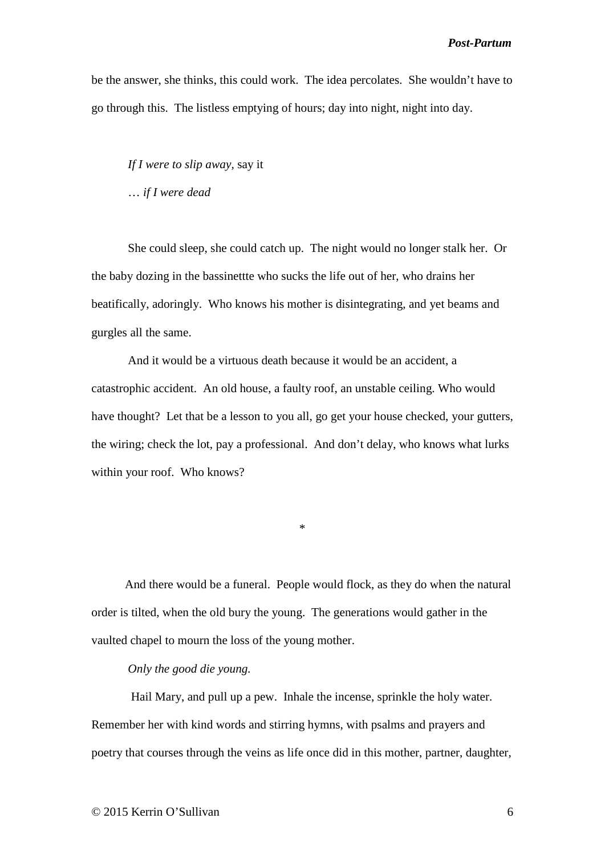be the answer, she thinks, this could work. The idea percolates. She wouldn't have to go through this. The listless emptying of hours; day into night, night into day.

*If I were to slip away,* say it

… *if I were dead*

She could sleep, she could catch up. The night would no longer stalk her. Or the baby dozing in the bassinettte who sucks the life out of her, who drains her beatifically, adoringly. Who knows his mother is disintegrating, and yet beams and gurgles all the same.

 And it would be a virtuous death because it would be an accident, a catastrophic accident. An old house, a faulty roof, an unstable ceiling. Who would have thought? Let that be a lesson to you all, go get your house checked, your gutters, the wiring; check the lot, pay a professional. And don't delay, who knows what lurks within your roof. Who knows?

\*

 And there would be a funeral. People would flock, as they do when the natural order is tilted, when the old bury the young. The generations would gather in the vaulted chapel to mourn the loss of the young mother.

#### *Only the good die young.*

Hail Mary, and pull up a pew. Inhale the incense, sprinkle the holy water. Remember her with kind words and stirring hymns, with psalms and prayers and poetry that courses through the veins as life once did in this mother, partner, daughter,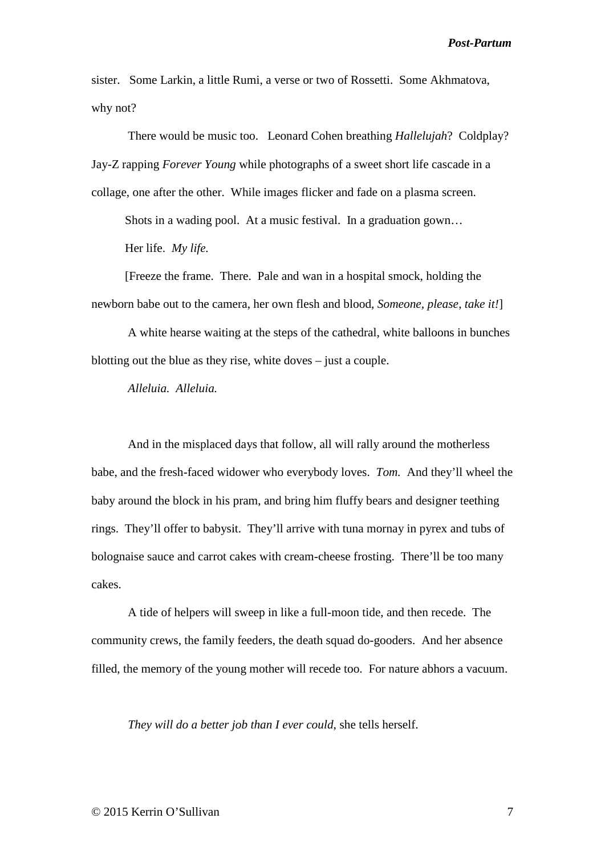sister. Some Larkin, a little Rumi, a verse or two of Rossetti. Some Akhmatova, why not?

 There would be music too. Leonard Cohen breathing *Hallelujah*? Coldplay? Jay-Z rapping *Forever Young* while photographs of a sweet short life cascade in a collage, one after the other. While images flicker and fade on a plasma screen.

Shots in a wading pool. At a music festival. In a graduation gown…

Her life. *My life.*

 [Freeze the frame. There. Pale and wan in a hospital smock, holding the newborn babe out to the camera, her own flesh and blood, *Someone, please, take it!*]

 A white hearse waiting at the steps of the cathedral, white balloons in bunches blotting out the blue as they rise, white doves – just a couple.

*Alleluia. Alleluia.*

 And in the misplaced days that follow, all will rally around the motherless babe, and the fresh-faced widower who everybody loves. *Tom.* And they'll wheel the baby around the block in his pram, and bring him fluffy bears and designer teething rings. They'll offer to babysit. They'll arrive with tuna mornay in pyrex and tubs of bolognaise sauce and carrot cakes with cream-cheese frosting. There'll be too many cakes.

 A tide of helpers will sweep in like a full-moon tide, and then recede. The community crews, the family feeders, the death squad do-gooders. And her absence filled, the memory of the young mother will recede too. For nature abhors a vacuum.

*They will do a better job than I ever could*, she tells herself.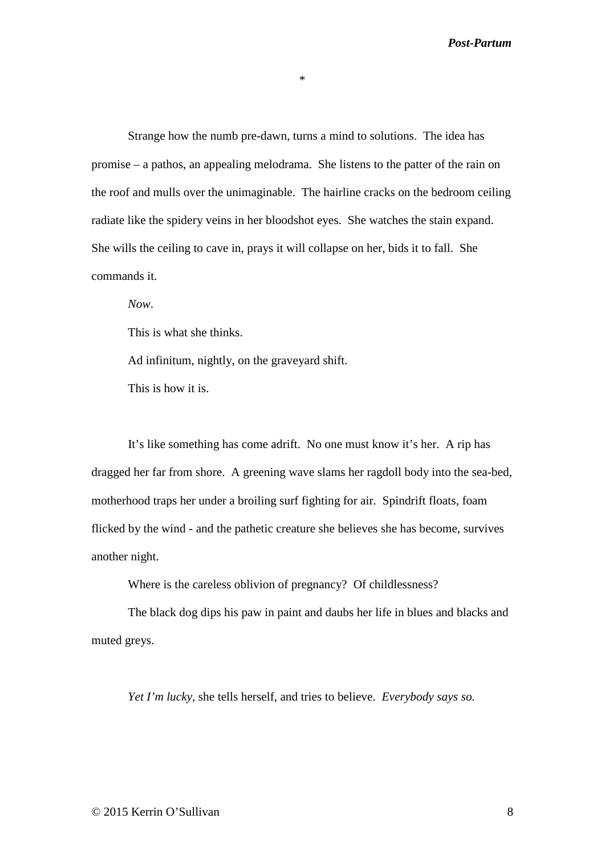\*

 Strange how the numb pre-dawn, turns a mind to solutions. The idea has promise – a pathos, an appealing melodrama. She listens to the patter of the rain on the roof and mulls over the unimaginable. The hairline cracks on the bedroom ceiling radiate like the spidery veins in her bloodshot eyes. She watches the stain expand. She wills the ceiling to cave in, prays it will collapse on her, bids it to fall. She commands it.

*Now*.

This is what she thinks.

Ad infinitum, nightly, on the graveyard shift.

This is how it is.

 It's like something has come adrift. No one must know it's her. A rip has dragged her far from shore. A greening wave slams her ragdoll body into the sea-bed, motherhood traps her under a broiling surf fighting for air. Spindrift floats, foam flicked by the wind - and the pathetic creature she believes she has become, survives another night.

Where is the careless oblivion of pregnancy? Of childlessness?

 The black dog dips his paw in paint and daubs her life in blues and blacks and muted greys.

*Yet I'm lucky,* she tells herself, and tries to believe. *Everybody says so.*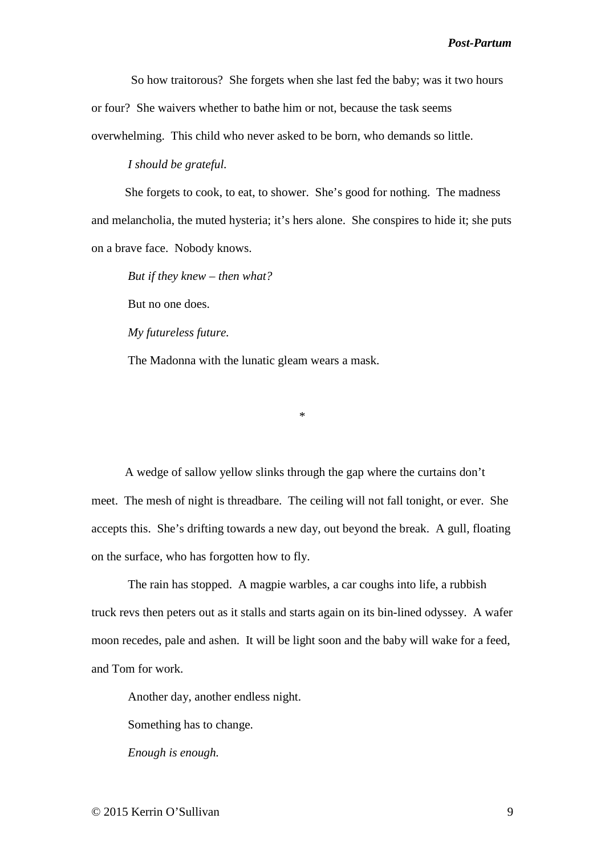So how traitorous? She forgets when she last fed the baby; was it two hours or four? She waivers whether to bathe him or not, because the task seems overwhelming. This child who never asked to be born, who demands so little.

 *I should be grateful.*

 She forgets to cook, to eat, to shower. She's good for nothing. The madness and melancholia, the muted hysteria; it's hers alone. She conspires to hide it; she puts on a brave face. Nobody knows.

*But if they knew – then what?*

But no one does.

*My futureless future.*

The Madonna with the lunatic gleam wears a mask.

\*

 A wedge of sallow yellow slinks through the gap where the curtains don't meet. The mesh of night is threadbare. The ceiling will not fall tonight, or ever. She accepts this. She's drifting towards a new day, out beyond the break. A gull, floating on the surface, who has forgotten how to fly.

 The rain has stopped. A magpie warbles, a car coughs into life, a rubbish truck revs then peters out as it stalls and starts again on its bin-lined odyssey. A wafer moon recedes, pale and ashen. It will be light soon and the baby will wake for a feed, and Tom for work.

Another day, another endless night.

Something has to change.

*Enough is enough.*